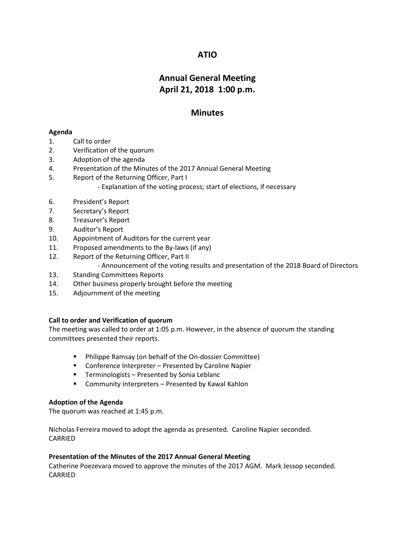## **ATIO**

# **Annual General Meeting April 21, 2018 1:00 p.m.**

## **Minutes**

## **Agenda**

- 1. Call to order
- 2. Verification of the quorum
- 3. Adoption of the agenda
- 4. Presentation of the Minutes of the 2017 Annual General Meeting
- 5. Report of the Returning Officer, Part I - Explanation of the voting process; start of elections, if necessary
- 6. President's Report
- 7. Secretary's Report
- 8. Treasurer's Report
- 9. Auditor's Report
- 10. Appointment of Auditors for the current year
- 11. Proposed amendments to the By-laws (if any)
- 12. Report of the Returning Officer, Part II
	- Announcement of the voting results and presentation of the 2018 Board of Directors
- 13. Standing Committees Reports
- 14. Other business properly brought before the meeting
- 15. Adjournment of the meeting

## **Call to order and Verification of quorum**

The meeting was called to order at 1:05 p.m. However, in the absence of quorum the standing committees presented their reports.

- Philippe Ramsay (on behalf of the On-dossier Committee)
- Conference Interpreter Presented by Caroline Napier
- **Terminologists Presented by Sonia Leblanc**
- Community Interpreters Presented by Kawal Kahlon

#### **Adoption of the Agenda**

The quorum was reached at 1:45 p.m.

Nicholas Ferreira moved to adopt the agenda as presented. Caroline Napier seconded. CARRIED

#### **Presentation of the Minutes of the 2017 Annual General Meeting**

Catherine Poezevara moved to approve the minutes of the 2017 AGM. Mark Jessop seconded. CARRIED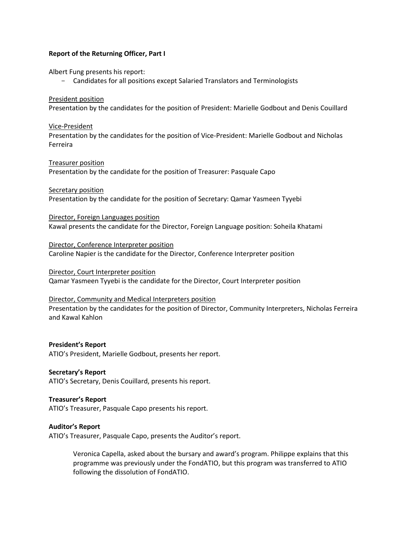#### **Report of the Returning Officer, Part I**

Albert Fung presents his report:

Candidates for all positions except Salaried Translators and Terminologists

President position Presentation by the candidates for the position of President: Marielle Godbout and Denis Couillard

## Vice-President Presentation by the candidates for the position of Vice-President: Marielle Godbout and Nicholas Ferreira

Treasurer position Presentation by the candidate for the position of Treasurer: Pasquale Capo

Secretary position Presentation by the candidate for the position of Secretary: Qamar Yasmeen Tyyebi

Director, Foreign Languages position Kawal presents the candidate for the Director, Foreign Language position: Soheila Khatami

Director, Conference Interpreter position Caroline Napier is the candidate for the Director, Conference Interpreter position

Director, Court Interpreter position Qamar Yasmeen Tyyebi is the candidate for the Director, Court Interpreter position

#### Director, Community and Medical Interpreters position Presentation by the candidates for the position of Director, Community Interpreters, Nicholas Ferreira and Kawal Kahlon

**President's Report** ATIO's President, Marielle Godbout, presents her report.

**Secretary's Report** ATIO's Secretary, Denis Couillard, presents his report.

**Treasurer's Report** ATIO's Treasurer, Pasquale Capo presents his report.

#### **Auditor's Report**

ATIO's Treasurer, Pasquale Capo, presents the Auditor's report.

Veronica Capella, asked about the bursary and award's program. Philippe explains that this programme was previously under the FondATIO, but this program was transferred to ATIO following the dissolution of FondATIO.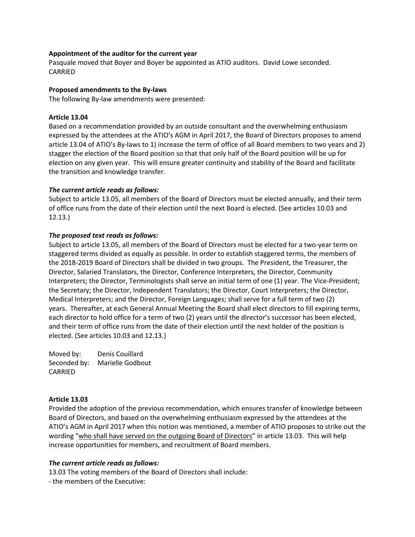#### **Appointment of the auditor for the current year**

Pasquale moved that Boyer and Boyer be appointed as ATIO auditors. David Lowe seconded. CARRIED

#### **Proposed amendments to the By-laws**

The following By-law amendments were presented:

#### **Article 13.04**

Based on a recommendation provided by an outside consultant and the overwhelming enthusiasm expressed by the attendees at the ATIO's AGM in April 2017, the Board of Directors proposes to amend article 13.04 of ATIO's By-laws to 1) increase the term of office of all Board members to two years and 2) stagger the election of the Board position so that that only half of the Board position will be up for election on any given year. This will ensure greater continuity and stability of the Board and facilitate the transition and knowledge transfer.

#### *The current article reads as follows:*

Subject to article 13.05, all members of the Board of Directors must be elected annually, and their term of office runs from the date of their election until the next Board is elected. (See articles 10.03 and 12.13.)

#### *The proposed text reads as follows:*

Subject to article 13.05, all members of the Board of Directors must be elected for a two-year term on staggered terms divided as equally as possible. In order to establish staggered terms, the members of the 2018-2019 Board of Directors shall be divided in two groups. The President, the Treasurer, the Director, Salaried Translators, the Director, Conference Interpreters, the Director, Community Interpreters; the Director, Terminologists shall serve an initial term of one (1) year. The Vice-President; the Secretary; the Director, Independent Translators; the Director, Court Interpreters; the Director, Medical Interpreters; and the Director, Foreign Languages; shall serve for a full term of two (2) years. Thereafter, at each General Annual Meeting the Board shall elect directors to fill expiring terms, each director to hold office for a term of two (2) years until the director's successor has been elected, and their term of office runs from the date of their election until the next holder of the position is elected. (See articles 10.03 and 12.13.)

Moved by: Denis Couillard Seconded by: Marielle Godbout CARRIED

#### **Article 13.03**

Provided the adoption of the previous recommendation, which ensures transfer of knowledge between Board of Directors, and based on the overwhelming enthusiasm expressed by the attendees at the ATIO's AGM in April 2017 when this notion was mentioned, a member of ATIO proposes to strike out the wording "who shall have served on the outgoing Board of Directors" in article 13.03. This will help increase opportunities for members, and recruitment of Board members.

## *The current article reads as follows:*

13.03 The voting members of the Board of Directors shall include:

- the members of the Executive: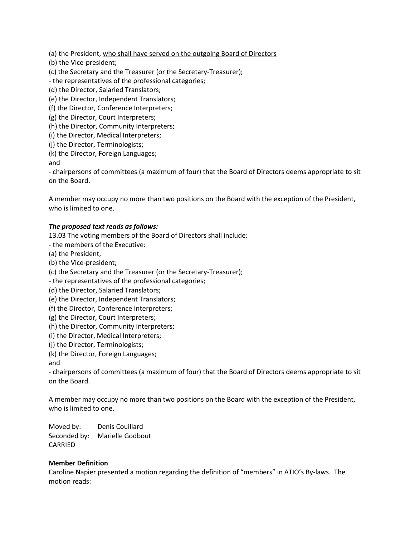(a) the President, who shall have served on the outgoing Board of Directors

(b) the Vice-president;

(c) the Secretary and the Treasurer (or the Secretary-Treasurer);

- the representatives of the professional categories;

(d) the Director, Salaried Translators;

(e) the Director, Independent Translators;

(f) the Director, Conference Interpreters;

(g) the Director, Court Interpreters;

(h) the Director, Community Interpreters;

(i) the Director, Medical Interpreters;

(j) the Director, Terminologists;

(k) the Director, Foreign Languages;

and

- chairpersons of committees (a maximum of four) that the Board of Directors deems appropriate to sit on the Board.

A member may occupy no more than two positions on the Board with the exception of the President, who is limited to one.

#### *The proposed text reads as follows:*

13.03 The voting members of the Board of Directors shall include:

- the members of the Executive:

(a) the President,

(b) the Vice-president;

(c) the Secretary and the Treasurer (or the Secretary-Treasurer);

- the representatives of the professional categories;

(d) the Director, Salaried Translators;

(e) the Director, Independent Translators;

(f) the Director, Conference Interpreters;

(g) the Director, Court Interpreters;

(h) the Director, Community Interpreters;

(i) the Director, Medical Interpreters;

(j) the Director, Terminologists;

(k) the Director, Foreign Languages;

and

- chairpersons of committees (a maximum of four) that the Board of Directors deems appropriate to sit on the Board.

A member may occupy no more than two positions on the Board with the exception of the President, who is limited to one.

Moved by: Denis Couillard Seconded by: Marielle Godbout CARRIED

#### **Member Definition**

Caroline Napier presented a motion regarding the definition of "members" in ATIO's By-laws. The motion reads: